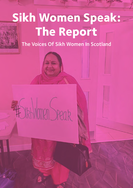# **Sikh Women Speak: The Report**

The Voices Of Sikh Women In Scotland

# F Sikhlimen Speak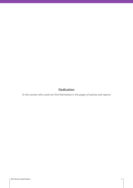# Dedication

To the women who could not find themselves in the pages of policies and reports.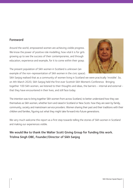# Foreword

Around the world, empowered women are achieving visible progress. We know the power of positive role modelling; how vital it is for girls growing up to see the success of their contemporaries, and through education, experience and example, for it to come within their grasp.

The present population of Sikh women in Scotland is unknown (an example of the non-representation of Sikh women in the civic space).



Sikh Sanjog realised that as a community of women living in Scotland we were practically 'invisible'. So, on 4th March 2020, Sikh Sanjog held the first ever Scottish Sikh Women's Conference. Bringing together 100 Sikh women, we listened to their thoughts and ideas, the barriers - internal and external that they have encountered in their lives, and still face today.

The intention was to bring together Sikh women from across Scotland, to better understand how they see themselves as Sikh women, whether born and raised in Scotland or New Scots: how they are seen by family, community, society and mainstream service providers. Women sharing their past and their traditions with their children and families, figuring out what they might take forward into future generations.

We very much welcome this report as a first step towards telling the stories of Sikh women in Scotland and making our experiences visible.

# We would like to thank the Walter Scott Giving Group for funding this work. Trishna Singh OBE, Founder/Director of Sikh Sanjog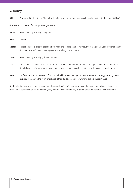# **Glossary**

| Sikhi  | Term used to denote the Sikh faith, deriving from sikhna (to learn). An alternative to the Anglophone 'Sikhism'.                                                                                                               |
|--------|--------------------------------------------------------------------------------------------------------------------------------------------------------------------------------------------------------------------------------|
|        | Gurdwara Sikh place of worship, plural gurdware                                                                                                                                                                                |
| Patka  | Head covering worn by young boys                                                                                                                                                                                               |
| Pagh   | Turban                                                                                                                                                                                                                         |
| Dastar | Turban, dastar is used to describe both male and female head coverings, but while pagh is used interchangeably<br>for men, women's head coverings are almost always called dastar.                                             |
| Keski  | Head covering worn by girls and women.                                                                                                                                                                                         |
| Izat   | Translates as 'honour'. In the South Asian context, a tremendous amount of weight is given to the notion of<br>family honour, often related to how a family unit is viewed by other relatives or the wider cultural community. |

Seva Selfless service. A key tenet of Sikhism, all Sikhs are encouraged to dedicate time and energy to doing selfless service, whether in the form of prayers, other devotional acts, or working to help those in need.

NB: for clarity, Sikh women are referred to in this report as "they", in order to make the distinction between the research team that is comprised of 4 Sikh women ('we') and the wider community of Sikh women who shared their experiences.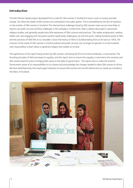# **Introduction**

The Sikh Women Speak project developed from a need for Sikh women in Scotland to have a voice in society and lead change. Too often the needs of Sikh women are overlooked in the public sphere. This is exemplified by the lack of statistics on the number of Sikh women in Scotland. The intersectional challenges faced by Sikh women mean we are more likely to need to use public services and face challenges in the workplace. Furthermore, Sikhi is seldom discussed in mainstream religious studies, and generally people have little awareness of Sikh customs and practices. This makes employment, seeking health care, and engaging with the justice system significantly challenging. Up until this point, making Scotland aware of Sikhi and the practices of Sikhi fell on our shoulders. Given the history of Sikhs in Scotland dating from as far back as 1855, the inclusion of the needs of Sikh women in Scottish policies and public services can no longer be ignored. It is time Scotland took responsibility to learn about a significant religion that resides on its land.

The significance of this report being written by Sikh women, and being the first of its kind worldwide, is monumental. The founding principles of Sikhi are based on equality, and this report aims to ensure this equality is returned to the narrative and Sikh women lead the voice in bringing Sikh issues to the table of government. This report aims to make the Scottish Government aware of its responsibilities to its citizens and acknowledge the changes needed to allow Sikh women to thrive. We have identified areas that need urgent attention to ensure Sikh women are not left behind and our needs are included in the fabric of Scotland.

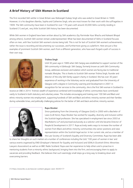# **A Brief History of Sikh Women in Scotland**

The first recorded Sikh settler in Great Britain was Maharajah Duleep Singh who was exiled to Great Britain in 1849. However, it is his daughters Bamba, Sophia and Catherine Singh, who are most known for their work with the suffragettes in 1909. The Sikh community have been in Scotland for over 170 years with around 20,000 Sikhs currently residing in Scotland (1) and yet, very little Scottish Sikh history has been documented.

While Sikh women in England have been written about by Sikh academics (by Parminder Kaur Bhachu and Kalwant Bhopal among others), Scottish Sikh women remain underrepresented. What has been documented of Sikhs in Scotland focuses often on men, with few Scottish Sikh women's stories being told. This is not for lack of Scottish Sikh women's achievements, rather the issue is recording and documenting our successes, and furthermore giving us a platform. Here are just a few examples of prominent Scottish Sikh women, each from a different generation, who have each forged a path of success in their own way.



#### Trishna Singh

Until 30 years ago in 1989 when Sikh Sanjog was established to support women of the Sikh community in Edinburgh. Sikh Sanjog, formerly known as Leith Sikh Community Group, addresses exclusion and isolation which women are facing due to traditional nomadic lifestyles. This is thanks to Scottish Sikh woman Trishna Singh, founder and director of the only Sikh family support charity in Scotland. She has over 30 years' experience of working in the Voluntary sector and graduated from the University of Glasgow with a degree in Community Learning and Development in 2007. In recognition for her services to the community, she is the first Sikh woman in Scotland to

receive an OBE in 2014. Trishna's wealth of experience combined with knowledge of ethnic communities have contributed vastly to Scotland in both statutory and voluntary areas. This includes encouraging and training over 100 Sikh and Black and ethnic minority women into employment, supporting hundreds of Sikh and Black and ethnic minority women and their families during vulnerable times, and politically challenging policies for the better of Sikh and black and ethnic minority women.



#### Rupa Mooker

Since graduating from the University of Glasgow (UoG) in 2000 with a Bachelor of Laws (LLB Hons), Rupa Mooker has worked for equality, diversity and inclusion within the Scottish legal profession. She has specialised in employment law since 2003 at MacRoberts LLP and practised exclusively as a solicitor until she became Director of People & Development in 2017. Rupa actively seeks ways to increase the number of women from Black and ethnic minority communities into senior positions and raise representation within the Scottish legal sector. In her current role, and as a member of the Law Society of Scotland's Equality and Diversity Committee, Rupa has been able

to share her thoughts on such matters at a number of conferences including the UoG '100 years of women in law' and various events organised by ENEI (Employer's Network for Equality and Inclusion) and SEMLA (Scottish Ethnic Minorities Lawyers Association) as well as on BBC Radio Scotland. Rupa uses her experience to help others and is proactive in mentoring students from a minority ethnic background, bringing them into the firm, and encouraging them to apply to vacancies and providing feedback. She believes that such seemingly small steps go a long way to breaking down and overcoming barriers.

(1) https://www.bbc.co.uk/news/uk-scotland-glasgow-west-36293177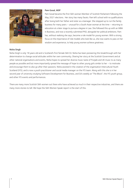

#### Pam Gosal, MSP

Pam Gosal became the first Sikh woman Member of Scottish Parliament following the May 2021 elections. Her story has many facets. Pam left school with no qualifications after losing both her father and sister as a teenager. She stepped up to run the family business for many years – unusual for a South Asian woman at the time – returning to education at a later stage to pursue a degree in Law. She followed this up with an MBA in Business, and now a recently submitted PhD, alongside her political ambitions. Pam has, without realising she says, become a role model for young women. With a strong focus on the importance of role models who look like us, she now wants to pass on her wisdom and experience, to help young women achieve greatness.

#### Nisha Singh

Nisha Singh is only 18 years old and is Scotland's first female Sikh DJ. Nisha has been pioneering this breakthrough with her determination to change social attitudes within her own community. Sharing her story at the Scottish Government and at other national organisations and events, Nisha hopes to spread her diverse music taste of Punjabi and UK music to as many people as possible and but more importantly spread the message of hope to other young girls similar to her – to motivate and encourage them to also go after their passions. Nisha assisted in the creation of the organisation Intercultural Youth Scotland (IYS), and is now a youth practitioner and social media manager on the IYS team. Along with this she is in her second year of university studying Software Development for Business, and DJ's weekly at "The Block", the IYS youth group, and other IYS events and performances.

There are many more Scottish Sikh women out there who have achieved so much in their respective industries, and there are many more stories to tell. We hope the Sikh Women Speak report is the start of this.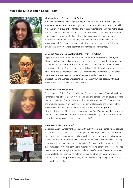## **Meet the Sikh Women Speak Team**











#### Kirndeep Kaur, LLB (Hons), LLM, PgDip

Kirndeep Kaur comes from a legal background, with a Masters in Human Rights Law. Kirndeep's interests are in women's rights and state responsibility. As a Scottish Sikh, Kirndeep is very proud of her heritage and regularly campaigns on human rights issues affecting the Sikh community within Scotland. "For too long, Sikh women in Scotland have remained within the shadows of society. Services which should be for all Scottish citizens are not, because they were never made with the needs of Sikh women in mind. This needs to change so that generations of women to follow are given access to everyday services that many others take for granted."

#### Dr Diljeet Kaur Bhachu, BA (Hons), MSc, PhD, FHEA, FRSA

Diljeet is an academic researcher and educator with a PhD in Music focussing on Music Education. Diljeet also works as an arts producer, and is a professional musician, and within the arts she advocates for more nuanced representation of South Asian artists and art forms. Diljeet has been actively involved in the trade union movement since 2014 and is a member of the STUC Black Workers' Committee. "Sikh women themselves are diverse communities of peoples - Scotland needs a more intersectional and nuanced understanding of Sikh communities, especially through women's voices that are so often overlooked."

#### Ramandeep Kaur, MA (Hons)

Ramandeep is a Politics Graduate with over 6 years' experience in Financial services. Ramandeep has a keen interest in women's rights and campaigning on issues affecting the Sikh community. She participated in the Young Women Lead 2020 programme and produced the report on underrepresentation of Black Asian and Minority Ethic women in employment. Ramandeep is also a Trustee of the Young Women's Movement Scotland. "It is extremely important that Sikh Women own the narrative in making change in Scotland to make sure Scotland serves us just as much as it serves our white counterparts, and we are not left behind".

#### Sinita Kaur Potiwal, BA (Hons)

Sinita is an Event Management graduate with over 8 years' experience with weddings and catering in particular. Sinita has managed Social Enterprise Punjabi Junction over this time in various environments including cafe, markets and festivals, and catering events, including more recently all its social media and new e-commerce site. Having grown up within a traditional Sikh community in Scotland, she has experienced the disadvantages Sikh women continue to face today. Taking control of her life, Sinita has been able to achieve a higher education and a successful career. These are two areas Sinita would like to become a norm for all Sikh girls and women having worked with both at the Social Enterprise and seeing first-hand how young Sikh girls and women can so often be left behind.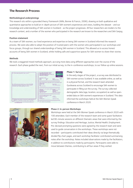# **The Research Process**

#### Methodological underpinnings

This research sits within a grounded theory framework (Mills, Bonner & Francis, 2006), drawing on both qualitative and quantitative approaches to build an in-depth picture of Sikh women's experiences and views, building the dataset - and our knowledge and understanding of Sikh women in Scotland - as the project progresses. All four researchers are insiders to the research context, and a number of the women who participated in the research are known to the researchers and Sikh Sanjog.

#### Position statement

As a team of Sikh women, our lived experience and expertise on being Sikh women in Scotland informed the research process. We were also able to adopt the position of trusted peers with the women who participated in our workshops and focus groups, through our shared understandings of being Sikh women in Scotland. This allowed us to access honest accounts of being Sikh women in Scotland, whilst holding safe and supportive spaces for Sikh women to share their stories.

#### Methods

We took a staggered mixed methods approach, accruing more data using different approaches over the course of the research. Each phase guided the next, from our initial survey, to the in-conference workshops, to our follow up online sessions.



#### Phase 1: Survey

In the early stages of the project, a survey was distributed to Sikh women across Scotland. It was available online, as well as in a physical format, and the research team attended Gurdwaras across Scotland to encourage Sikh women to participate in filling out the survey. The survey collected demographic data (age, location, occupation) as well as openended data on Sikh women's experiences in Scotland. This data informed the workshops held at the Sikh Women Speak conference in March 2020.



#### Phase 2: In-person Workshops

Workshops were held at the Sikh Women Speak conference in March 2020 with 100 attendees. Each member of the research team and some guest facilitators led 90-minute sessions on different thematic areas that were informed by the survey findings: Education and Heritage; Justice; Mental Health; Employment. Pre-devised prompting questions were agreed by the research team and were used to guide conversation in the workshops. These workshops were not recorded - participants contributed their ideas directly via large thematically divided flip chart pages, and each workshop facilitator contributed summarising notes after the workshop. Notes included observations made by the facilitators, in addition to contributions made by participants. Participants were able to move between themes, contributing to all four areas if they wished.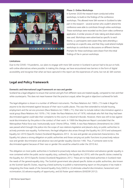

#### Phase 3: Online Workshops

In Summer 2020 the research team conducted online workshops, to build on the findings of the conference workshops. This allowed more Sikh women in Scotland to take part in the research - several women who couldn't attend the conference were able to contribute through online workshops. These workshops were recorded via the Zoom video conference application. A similar process of note-taking and observations was used. Workshops were advertised as specific to each theme, i.e. participants were aware they were attending a workshop on a specific area, and that they could attend multiple workshops to contribute to discussions on different themes. Prompts for these workshops were drawn from the initial findings of the in-person workshops.

#### Limitations

Due to the COVID-19 pandemic, our plans to engage with more Sikh women in Scotland in person had to be put on hold, with online alternatives where possible. In making this change, we have encountered new barriers in the form of digital accessibility and recognise that what we have captured in this report are the experiences of some, but not all, Sikh women.

# **Legal and Policy Framework**

#### Domestic and International Legal Framework on race and gender

Scotland has a legal obligation to ensure that women and girls from different races are treated equally, compared to men and their white counterparts. This does not mean however that the practice is equal, rather the goal or objective is achieved for both.

The legal obligation is shown in a number of different instruments. The Race Relations Act 1965 c.73 made it illegal for anyone to be discriminated against because of their race in public places. This was then extended to include housing, employment and the service provision (Race Relations Act 1968 c.71), then later to include indirect discrimination against a racial group (Race Relations Act 1976 c.74). Under the Race Relations Act of 1976, individuals who felt that they had been discriminated against could take their complaints to the courts or industrial tribunals. However, there was still no law against racial discrimination by the police in the conduct of their work. In 1999 the Macpherson Report concluded that the Metropolitan Police force was 'institutionally racist' (Home Office, 1999). A new Race Relations (Amendment) Act 2000 was passed which brought the police into the scope of race relations legislation and placed a duty on public authorities to actively promote race equality. Furthermore, the legal obligation also arises through the Equality Act 2010 and subsequent Equality Act 2010 (Specific Duties) (Scotland) Regulations 2012. As race and gender are protected characteristics, the Equality Act places a strong obligation on public authorities and those carrying out public functions to proactively reduce race and gender discrimination and advance race and gender equality (Section 149). Thus, if someone were to be discriminated against because of their race or gender this would be unlawful under the 2010 Act.

The obligation on most public authorities in Scotland to proactively reduce race discrimination and advance gender equality is now contained within the public sector equality duty, outlined by the Equality Act 2010, with the specific duties created by the Equality Act 2010 (Specific Duties) (Scotland) Regulations 2012. These aim to help listed authorities in Scotland meet the needs of the general equality duty. The Scottish government also placed specific duties on public authorities, also known as the Scottish Specific Duties, requiring a listed authority to publish a mainstreaming report on the progress it has made in integrating the three needs of the General Equality Duty (GED) to: (i) eliminate unlawful discrimination, harassment and victimization; (ii) advance equality of opportunity, and (iii) foster good relations (EASDSR 2012).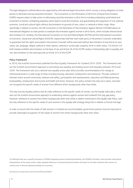The legal obligations outlined above are supported by international legal instruments which convey a strong obligation on state parties to eliminate intersectional discrimination. The Convention on the Elimination of All Forms of Racial Discrimination (CERD) requires states to take action on eliminating racial discrimination in all its forms including eradicating racial hatred and incitement to hatred, combatting prejudices which lead to racial discrimination, and guaranteeing the enjoyment of civil, political, economic, social and cultural rights without discrimination on grounds of race, colour, or national or ethnic origin. More specifically in relation to women, the UN Convention on the Elimination of Discrimination Against Women (CEDAW) places an international obligation on state parties to eradicate discrimination against women in all its forms, which includes intersectional discrimination (2). Similarly, the International Convention on Civil and Political Rights (ICCPR) and the International Convention on Economic, Social and Cultural Rights (ICESCR), respectively hold that 'each state party to the present Covenant undertakes to guarantee that the rights enunciated in the present Covenant will be exercised without discrimination of any kind as to race, colour, sex, language, religion, political or other opinion, national or social origin, property, birth or other status.' (3) Article 3 of both treaties prohibits discrimination on the basis of sex and Article 26 of the ICCPR creates a freestanding right to equality and non-discrimination on the same grounds as Article 2(1) of the ICCPR.

#### Policy Framework

In 2016, the Scottish Government published the Race Equality Framework for Scotland 2016-2030. The Framework sets out the Scottish Government's approach to promoting race equality and tackling racism and inequality between 2016 and 2030. The Framework sets out a national race equality action plan which provides recommendations for change at institutional levels in a wide range of areas including housing, education, employment and enterprise. The plan outlines 6 themed visions around community cohesion and safety, participation and representation, education and lifelong learning, employability, employment and income and health and home. However, this policy remains the only one in place, and does not recognise the specific needs of women from different ethnic backgrounds other than white.

The only two key equality policies that do make reference to the specific needs of women, are the Equally Safe policy, which sets out the Scottish Government approach to eradicating violence against women and Scotland's first pay gap policy. However, reference to women from ethnic backgrounds other than white is seldom mentioned in the Equally Safe Policy, with the only reference to the specific needs of such women in the equally safe strategy being that in relation to forced marriage.

In order to ensure that the needs of Sikh women in Scotland are accommodated, government policies must be improved to provide meaningful recognition of the needs of women from ethnic backgrounds other than white.

(2) Although there are no specific provisions in CEDAW recognising women's intersectional identity, the CEDAW Committee, which provides authoritative interpretations of the treaty articles, makes repeated references to intersectional discrimination and draws to the states' attention that women of a minority race or ethnicity disproportionately live in poverty.

(3) Article 2(1) and Article 2(2) of the ICCPR and ICESCR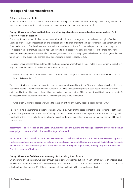# **Findings and Recommendations**

#### Culture, Heritage and Identity

At our conference, and in subsequent online workshops, we explored themes of Culture, Heritage and Identity, focussing on issues such as representation, societal awareness, and opportunities to explore our own heritage.

#### Finding: Sikh women in Scotland feel their cultural heritage is under-represented and not accommodated for in society, work and education.

Our survey found that two thirds of respondents felt their culture and heritage was not celebrated enough in Scotland. Examples of this included recognition of, and allocation of holidays for, important Sikh celebrations such as Bandi Chorr and Diwali (celebrated in October/November) and Vaisakhi (celebrated in April). This has an impact on both school pupils and Sikh people in employment, as they are not given leave to mark dates of religious significance. Furthermore, family and community-led preparations are central to these religious festivals, and so employers and schools should recognise the need for employees and pupils to be granted leave to participate in these celebrations fully.

Feelings of under-representation extended to the heritage sector, where there is some limited representation of Sikhi, but it may not always be well-publicised or reach the Sikh community.

"I don't know any museums in Scotland which celebrate Sikh heritage and representation of Sikhs in workplaces, and in the media is very limited."

This ties in with the wider issue of education, and the representation and inclusion of Sikhi in schools which will be discussed later in this report. There have also been a number of UK-wide and global campaigns to seek better recognition of Sikh culture and heritage. Like many cultures, there are particular customs within Sikh communities within all major life events. Of the most serious of course is bereavement, a challenging time in any community.

"when a family member passed away, I had to take a lot of time off, but my boss did not understand why"

Flexible working is a current topic under debate and would allow workers the scope to meet the expectations of both their jobs and their personal lives. At the time of writing this report, the UK Government's Department for Business, Energy and Industrial Strategy has launched a consultation to make flexible working a default arrangement, a move that would benefit Scottish Sikhs.

Recommendation 1: We call on the Scottish Government and the cultural and heritage sectors to develop and deliver a campaign to celebrate Sikh culture and heritage in Scotland.

Recommendation 2: We call on the Scottish Government, Local Authorities and the Scottish Trade Union Congress to implement guidance and campaign for schools and employers to provide flexible working and flexible leave for pupils and workers to take leave on days that are of cultural and/or religious significance, moving away from the default Christian calendar of holidays.

#### Finding: Sikh women feel there are community divisions along lines of caste

On embarking on this research, we knew through the existing work carried out by Sikh Sanjog that caste is an ongoing issue for Sikhs in Scotland. This was reaffirmed by survey respondents, who noted caste discrimination as one of the main 3 issues affecting them. In general, 70% of those surveyed felt that Scotland's Sikh communities are divided.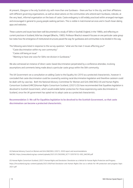At present, Glasgow is the only Scottish city with more than one Gurdwara - there are four in the city, and their affiliations with different governing organisations, as well as observations on the communities who attend each Gurdwara, indicate, at the very least, informal organisation on the basis of caste. Caste endogamy is still widely practiced within arranged marriages and encouraged in general to young people seeking partners. This is visible in matrimonial services and in South Asian dating apps and websites.

These customs and issues have been well documented in a study of Sikhs in Southall, England, in the 1980s, and reflecting on current practices in Scotland, little has changed (Bhachu, 1985). Professor Bhachu's research focuses on one particular caste group but notes how the emergence of institutional structures paved the way for gurdwaras and communities to be divided in this way.

The following were listed in response to the survey question: "what are the main 3 issues affecting you?"

"Caste discrimination within my own community"

"Castes still being an issue"

"Wanting to have one voice for Sikhs not division in Gurdwaras."

We also witnessed an instance of direct caste-based discrimination perpetrated by a conference attendee, involving assumptions and comments being made about a particular caste group within the Sikh community.

The UK Government ran a consultation on adding Caste to the Equality Act 2010 as a protected characteristic, however it concluded that caste discrimination could be covered by existing racial discrimination legislation and therefore casteism could be dealt with by case law. Both the National Advisory Committee for Women and Girls (NACWG) (4) and Human Rights Consortium Scotland (HRCS)Human Rights Consortium Scotland, (2021) (5) have recommended that Equalities legislation is devolved to Scottish Government, which would enable better protection for those experiencing caste discrimination in Scotland, since the UK government has opted not to adopt caste as a protected characteristic.

Recommendation 3: We call for Equalities legislation to be devolved to the Scottish Government, so that caste discrimination can become a protected characteristic.

(4) National Advisory Council on Women and Girls (NACWG). (2021). 2020 report and recommendations. NACWG. https://onescotland.org/wp-content/uploads/2021/01/562006\_SCT1120576152-002\_NACWG.pdf

(5) Human Rights Consortium Scotland, (2021) Human Rights and Devolution: Devolution as a Vehicle for Human Rights Protection and Progress. https://hrcscotland.org/wp-content/uploads/2021/09/Final-Devolution-and-Human-Rights-Dev-as-a-vehicle-for-HR-protection-and-progress-Sept-2021.pdf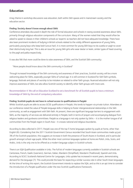# **Education**

A key theme in workshop discussions was education, both within Sikh spaces and in mainstream society and the education sector.

#### Finding: Society doesn't know enough about Sikhi

Conference attendees discussed in depth the role of formal education and schools in raising societal awareness about Sikhi, primarily through religious education components of the curriculum. Many of the women noted that they would often be asked to speak to classes in their children's schools as 'experts' as teachers did not have adequate knowledge. There have also been prominent incidents of bullying in British schools related to the visibly different appearance of young Sikhs, particularly young boys who keep kesh (uncut hair). It is more common for young Sikh boys to tie a patka or pagh to cover their distinctively long hair. This is also an issue for young Sikh girls who wear dastar or keski, similar types of head covering to the pagh and patka respectively.

It was also felt that more could be done to raise awareness of Sikhi, and the Scottish Sikh community:

"More people should know about the Sikh community in Scotland"

Through increased knowledge of the Sikh community and awareness of their practices, Scottish society will be a more welcoming place for Sikhs, especially younger Sikhs of school age. It is still common in Scotland for Sikh faith symbols, language, festivals and places of worship to be mistaken as related to other faith groups. Nuanced education will not only improve awareness of Sikhi, but also allow Scottish society to identify other faith groups with more care.

Recommendation 4: We call on Education Scotland to set a benchmark for all Scottish pupils to have a minimum knowledge of Sikhi by the end of compulsory education.

#### Finding: Scottish pupils do not have in-school access to qualifications in Panjabi

Whilst Scottish pupils are able to access GCSE qualifications in Panjabi, this tends to happen via private tuition. Attendees at our conference noted the value of Panjabi language skills in helping to foster intergenerational relationships in the Sikh community, as well as engagement with Sikh faith. At present, there are significant language barriers to engagement with Sikhi, as the majority of services are delivered entirely in Panjabi, both in terms of prayers and accompanying dialogue from religious leaders and gurdwara committees. Panjabi as a language is not only spoken by Sikhs – it is the mother tongue of all communities from the Panjab region in South Asia – it crosses national and religious boundaries.

According to data collected in 2017, Panjabi was one of the top 5 home languages spoken by pupils at home, other than English (6). Considering that the 2011 Scottish Government Census recorded that South Asian communities made up just 3% of the Scottish population, this suggests an increase in both the presence of South Asians in Scotland, and in particular growth amongst school-age pupils. While the other most common languages spoken at home are Polish, Urdu, Scots, and Arabic, Urdu is the only one to be offered as a modern language subject in Scottish schools.

There is an SQA Qualification available in Urdu. The full list of modern languages currently available in Scottish schools are Cantonese, French, Gaelic (Learners), German, Italian, Mandarin (Simplified), Mandarin (Traditional), Spanish and Urdu. According to SCILT, Scotland's National Centre for Languages, Urdu uptake has increased in recent years, demonstrating demand for the language (7). This could provide the basis for expecting a similar success rate in other South Asian languages. At the time of writing this report, the Scottish Government intends to replace the SQA, and so this is an apt time to consider the introduction of a Panjabi qualification under the new Scottish qualifications framework.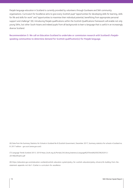Panjabi language education in Scotland is currently provided by volunteers through Gurdware and Sikh community organisations. Curriculum for Excellence aims to give every Scottish pupil "opportunities for developing skills for learning, skills for life and skills for work" and "opportunities to maximise their individual potential, benefitting from appropriate personal support and challenge" (8). Introducing Panjabi qualifications within the Scottish Qualifications framework will enable not only young Sikhs, but other South Asians and indeed pupils from all backgrounds to learn a language that is useful in an increasingly diverse Scotland.

Recommendation 5: We call on Education Scotland to undertake or commission research with Scotland's Panjabispeaking communities to determine demand for Scottish qualification(s) for Panjabi language.

(6) Data from the Summary Statistics for Schools in Scotland No 8 (Scottish Government, December 2017, Summary statistics for schools in Scotland no. 8: 2017 edition - gov.scot (www.gov.scot)

(7) Language Trends Scotland 2012-2019 https://scilt.org.uk/Portals/24/Library/statistics/Language%20Trends%20SCO%202012- 2019%20finalV2.pdf

(8) https://education.gov.scot/education-scotland/scottish-education-system/policy-for-scottish-education/policy-drivers/cfe-building-from-thestatement-appendix-incl-btc1-5/what-is-curriculum-for-excellence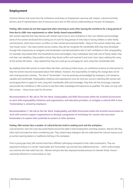# **Employment**

Common themes that arose from the conference workshops on Employment were low self-esteem, cultural and family barriers, lack of representation, lack of resources and a lack of Sikh cultural understanding on the part of employers.

#### Finding: Sikh women do not feel supported when returning to work after leaving the workforce for a long period of time due to child-care requirements or other family-based responsibilities.

Sikh women reported that they had low self-esteem due to low or zero confidence in their own abilities and knowledge. Some of the women attributed this to being out of work for long periods of time (due to having children or other family commitments), which had a knock-on effect on their mental and emotional health. Many of the women stated they were "just house-wives". Like many women across society, they did not recognise the transferable skills they have developed through their experiences as caregivers and homemakers and demonstrated a lack of self-confidence in their employability. For example, they looked after the household accounts and budgets, they multitasked, they took care of family needs, they met their own deadlines, they problem solved, they faced conflict and resolved it and much more. Upon realising this many of the women felt better - they realised that they too could go out and apply for work using their transferable skills.

By enabling these Sikh women to meet others like them, and discuss these issues, our conference acted as an intervention to help the women become empowered about their skillsets. However, the responsibility of making this change does not lie with small grassroots charities. The role of "homemaker" must be positively acknowledged by employers, and viewed as valuable and transferable. Employability initiatives and organisations must be more pro-active in reaching Sikh women and encouraging them to apply for work using their transferable skills and knowledge. Only then will this encourage, empower and provide the confidence in Sikh women to see their skills, knowledge and experience as qualified. This does not stop with Sikh women – these issues exist for all women.

Recommendation 6: We call on The Fair Work, Employability and Skills Directorate within the Scottish Government to work with employability initiatives and organisations, and education providers, to instigate a cultural shift in how 'homemaking' is viewed by employers.

Recommendation 7: We call on the Fair Work, Employability and Skills Directorate within the Scottish Government to work with women's support organisations to develop a programme of workshops for women who have been homemakers to explore their potential as workers in other domains.

#### Finding: Sikh women face a number of cultural barriers both in seeking work and the workplace.

Cultural barriers were the most discussed theme around the table in both employment workshop sessions. Women felt they often had to be selective when considering a job. They stated many employers did not understand the cultural nuances such as women wearing dastars or traditional clothing in the workplace.

From a young age many Sikh women have had a different upbringing compared to their male counterparts. They are expected to behave in a certain 'respectable' and 'honourable' way and also face additional barriers – which unfortunately can continue into their adult lives too. Women and girls also face disproportionate pressure to maintain family 'honour' commonly referred to in communities as 'izat'.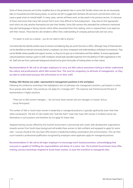Some of these pressures are further amplified due to the gendered roles in some Sikh families where men do not necessarily take on household and child rearing duties, so women are left to juggle both domestic life and work commitments which can cause a great strain on mental health. In many cases, women will leave work, as discussed in the previous section. It is because of these restrictions that many Sikh women find it even more difficult to find employment - they have to find 'appropriate' work which not only satisfies themselves but also their families. Some Sikh women who attended the conference mentioned they also had language or literacy barriers which either prevented them from seeking work or required them to be selective with their choices. These barriers also tended to affect their understanding of company policies/rules and vice versa.

"it's easier to work as a cleaner… you do not need to talk to anyone."

Comments like this identify another issue of women not believing they are worth the time or effort. Although many of these barriers can be identified as internal community barriers, employers can show compassion and understanding in individual circumstances. They can be flexible where possible and support women, so they do not give up on themselves and their abilities. To ensure appropriate cultural awareness training is given to staff, employers should seek specialist expertise from the plethora of Sikh organisations in the UK. Staff who are from a particular background should not be given the burden of training others on their culture.

Recommendation 8: We call on all major employers to carry out Sikh culture awareness training to better understand the culture and predicaments which Sikh women face. This must be compulsory to all levels of management, so they are able to understand and pass this information on to their staff.

#### Finding: Sikh Women are under-represented in management positions in the workplace

Following the conference workshops that highlighted a lack of pathways into management positions, participants in online focus groups were asked, "why would you not apply for a manager job?". The response was framed around the lack of representation in higher positions.

"There are no Sikh women managers… I do not know Asian women who are managers or bosses" [Focus Group Participant]

The number of Sikh or South Asian women in leadership or managerial positions is typically significantly lower than their white counterparts. The lack of role models who "look like them" mean that many Sikh women in Scotland cannot see themselves in such positions and therefore do not apply for these roles.

Targeted training courses offered by the Scottish Government in partnership with career skills development organisations towards women from South Asian background will enable these women to feel confident and equipped to apply for senior roles. Courses should at the very least offer lessons in leadership building, presentation and communication. This can then count towards a professional qualification recognised by employers when applicants apply for managerial positions.

Recommendation 9: We call on all major employers to encourage merit-based promotion, acknowledging that everyone is capable of fulfilling the responsibilities and duties of a senior role. The Scottish Government must offer training courses/workshops targeted at South Asian women, to ease the transition to managerial roles.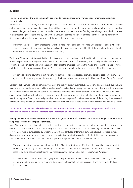## **Justice**

#### Finding: Members of the Sikh community continue to face racial profiling from national organisations such as Police Scotland.

Racism within Scottish society remains an important issue for Sikh women living in Scotland today. 10% of women surveyed stated that racism was an issue that most affected them in society today. The rise in racism following the Brexit vote and an increase in dangerous rhetoric from world leaders, has meant that many women felt they were living in fear. This has resulted in lower reporting of racist crimes by Sikh women. Language barriers with police officers and the lack of representation of Sikh women in the police force have also contributed to the lower reporting rate.

"I feel that they (police) can't understand. I was born here. I have been educated here. But the lack of people who look like me in the police force means that I don't feel comfortable reporting crime. I feel that there is a huge lack of cultural awareness in the police force." [Focus Group Participant]

The lack of Sikh representation within the police force was reported to have contributed to a feeling within the community where the police and justice system were seen as "for them and not us". Often coming from a background where police brutality is the norm, some Sikh women surveyed felt that the practices shown in the media of police officers use of force and singling out black men was no different. This cannot exist in a society that must ensure all of its citizens feel safe.

"My son was walking down the street with this white friend. The police stopped them and asked to speak only to my son. My son had done nothing wrong. He was walking with friend. I don't know why they do this to us". [Focus Group Participant]

Collective action must be taken across government and society to root out institutional racism. In order to achieve this, we recommend the creation of a national independent taskforce aimed at reviewing practices within police institutions to ensure that cultures reflect a just and fair society. The taskforce, commissioned by the Scottish Government, will focus on 3 key areas – internal culture within the police (review and implement new practices), people strategy (there must be a drive to recruit more people from diverse backgrounds to ensure that the police force is representative of the society it serves) and police operations (review of police training and handling of crimes such as hate crime, stop and search and domestic abuse).

#### Recommendation 10: We call on the Scottish Government to commission a national independent taskforce on institutional racism led by organisations at the forefront of anti-racism work in Scotland.

#### Finding: Sikh women in Scotland feel that there is a significant lack of awareness or understanding of their culture in the police force and other justice services.

Many Sikh women approached in this report felt that the current justice system was not set up to understand their needs or context. The lack of cultural awareness training in the police force meant that at times highly dangerous situations faced by Sikh women, were misunderstood by officers. Many officers confused different cultural and religious practices. Instead damaging stereotypes, for example where women remain silent in situations and men do the talking, were reinforced by various members of the judicial system. This was particularly problematic within rural communities.

"The police do not understand our culture or religion. They think that we are Muslim, or because they have set up links with mainly Muslim organisations then they do not need to do anymore. Serving one community is not enough. There needs to be cultural awareness training that recognises other communities too." [Focus Group Participant]

"At a recruitment event at my Gurdwara, I spoke to the police officer who was there. She told me that they do not receive any cultural awareness training. She didn't seem to think that this was an issue – I was very shocked." [Focus Group Participant]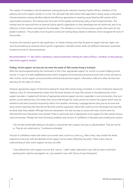The creation of mandatory cultural awareness training during the induction training of police officers, members of the judiciary and victim support workers is crucial. This will mean that Sikh women feel supported in raising issues to the police. Cultural awareness training will allow tailored and effective approaches to resolving issues faced by Sikh women which require police assistance. The training must form part of the equality and diversity policy of each body/institution. The training must be resourced from an external culture specific organisation so that stereotypes are not reinforced, and a true reflection of that culture is portrayed to the attendees. This will lead to a more inclusive justice system that works for the people it protects. The providers must be paid to avoid such training being viewed as tokenistic and to recognise the work of the provider.

To ensure this training is given its due significance, re-fresher training must then be given at regular intervals. Again, this must be provided by an external culture specific organisation. Interfaith events within the different institutions would also increase the level of cultural awareness.

Recommendation 11: We call for mandatory cultural awareness training for police officers, members of the judiciary and victim support workers.

#### Finding: Victim support services do not meet the needs of Sikh women living in Scotland

After the trauma experienced by the commission of the crime, appropriate support for victims is crucial in helping victims recover. It is part of a well-established process which recognises the emotional and practical strain that crimes can have on their victims. Victim support services provide emotional and practical support, information, referral to other services and advocacy for the rights of victims.

However appropriate support of this kind is lacking for many Sikh women living in Scotland. In crimes of domestic abuse and violence, a lack of cultural awareness means that the home situation of many Sikh women is misunderstood by victim support providers. Coupled with the lack of appropriate external support services, especially in rural communities, that such women can be referred onto, this means that victims fall through the cracks and do not receive the support which they are entitled to and which would be received by others from another community. Language barriers also pose as an issue with many women reporting that they did not feel that could be supported, where they could not even tell people how they felt, let alone what they needed. Although there are interpreters, this was not easy to access and many victims were not informed that such interpreters even existed. There is a particular lack of appropriate victim support for Sikh women living in rural communities. Perhaps the most harrowing revelation was the lack of confidence in the police and overall justice system.

"I do not feel comfortable talking to the police or anyone like that (support services or judicial bodies). They are not for us. They do not understand us." [conference attendee]

The lack of confidence meant that when such women were victims to crimes e.g., Hate crimes, they wished the whole experience to be over with and declined victim support service when offered by the police. There is also a lack of understanding of what victim support services can offer.

"I was offered the victim support service. But I said no. I didn't really understand it and I did not want to tell them anything that could be used against me. I just wanted it over with" [Focus Group Participant]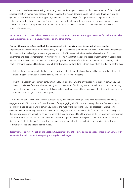Appropriate cultural awareness training should be given to victim support providers so that they are aware of the cultural situation that Sikh women face, especially those who report crimes of domestic abuse and violence. There must also be greater connection between victim support agencies and more culture specific organisations which provide support to victims of domestic abuse and violence. There is a need for work to be done to raise awareness of what support services can offer, but this must be paired with improvements to provision to instil confidence in Sikh women that they will be supported appropriately.

#### Recommendation 12: We call for better provision of more appropriate victim support services for Sikh women who have experienced domestic abuse, violence or any other crime.

#### Finding: Sikh women in Scotland feel that engagement with them is tokenistic and not taken seriously.

Engagement with Sikh women on proposed policy or legislative changes is far and few between. Survey respondents stated that most institutional and government engagement with the Sikh community is done via male dominated Gurdwara governance and does not represent Sikh women's needs. This means that the specific needs of Sikh women in Scotland are not met. Also, many women surveyed at the focus group were not aware of the democratic process and how they could input in changing policy and legislation. They felt that this was something done to them, over which they had no control over.

"I did not know that you could do that (input on policies or legislation). If change happens like that, why have they not asked our opinions? I was born in this country too." [Focus Group Participant]

"I went to a Scottish Government consultation on Hate Crime and I was the only person from the Sikh community and the only the female from a south Asian background in the group. I felt that my voice as a Sikh person in Scottish Society was not being taken seriously, but rather tokenistic, because there seemed to be no meaningful attempt to engage with other Sikh women." [Focus Group Participant]

Sikh women must be involved at the very outset of policy and legislative change. There must be increased community engagement with Sikh women in Scotland. Instead of only engaging with Sikh women through the local Gurdwaras, focus groups could also be held in wider community centres and hubs. More resourcing should be allocated to Sikh specific community charities and organisations to facilitate civic engagement. Establishment of information sessions outlining the democratic process and opportunities for involvement should be provided to Sikh women, so that Sikh women become more informed about their democratic rights and opportunities to input in policies and legislation that affect them as not only Sikhs but as Scottish citizens. There must also be more advertisement of the opportunities to participate including in community centres and hubs and social media.

Recommendation 13: We call on the Scottish Government and other civic bodies to engage more meaningfully with women in the Sikh community on policy and legislative changes.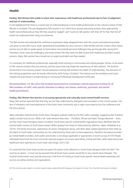# **Health**

#### Finding: Sikh Women feel unable to share their experiences with healthcare professionals due to fear of judgement and lack of understanding.

It was highlighted that there is a severe lack of understanding by current health professionals on the cultural context of Sikh Women in Scotland. This was displayed by Sikh women in our online focus groups expressing anxiety when approaching health care professionals as they felt they would be "judged", and "could not talk openly" with their GP for fear that the GP would not understand their living circumstances.

The Sikh women who attended the conference expressed a deep disappointment with the current postnatal and prenatal care given to new Sikh mums. Multi-generational households are very common in Sikh families and this context often means women are not able to speak openly at home about monumental personal challenges they go through after giving birth. Therefore, home visits are challenging, and many women felt they were not able to give their healthcare providers honest answers. Many Sikh women have missed out on urgent postnatal care they needed.

It is necessary for healthcare professionals, especially those working in communities and visiting peoples' homes, to be aware of the cultural contexts they are entering, and the issues that may shape the experiences of their patients. The Scottish Government must resource proper cultural awareness training that achieves this depth of understanding. The execution of the training programme must be heavily informed by Sikhs living in Scotland. The training must be mandatory and count towards the practitioner's overall training or Continuing Professional Development (CPD) plan.

Recommendation 14: We call on the Scottish Government to commission cultural awareness training for all NHS members of staff; with specific attention to elderly care homes, maternity, postnatal, and mental health practitioners.

#### Finding: Sikh Women face barriers in accessing appropriate and culturally aware mental health services.

Many Sikh women reported that that they are not fully understood by therapists and counsellors in the current system. The lack of therapists with lived experience of the South Asian community was a major issue raised across the conference and the focus groups.

Many attendees referenced the South Asian Therapists website made by the Pink Ladoo campaign, suggesting that Scotland needs a similar local service. While a UK-wide network does exist – The Black, African and Asian Therapy Network – there are few South Asian therapists listed in Scotland. South Asian specific mental health organisations have identified that the mental health context of South Asian women differs greatly from those of white ethnicity (Memon, Taylor, Mohebati et al, 2016). The family structures, experiences of racism, immigration waves, and other deep-seated experiences that make up the fabric of South Asian communities are not understood by those with no lived experience, therefore the advice provided by mental health providers, both public and private, is not always applicable or appropriate. A recent survey of 470 Panjabi individuals found that the most commonly reported support structures were family, friends and faith, while state and private healthcare were reported at a much lower rate (Singh, 2021) (9).

It is essential that South Asian women are given the option to be referred to a South Asian therapist within the NHS. This must be an option - it must not be assumed that all South Asian women would like to see a South Asian therapist. The Scottish Government must provide resources in the form of funding to South Asian specific mental health awareness and service-providing charities and organisations.

(9) This trend was also evident in a recent research study conducted by Sikh Sanjog on the impacts of covid-19 on the Sikh community in Scotland.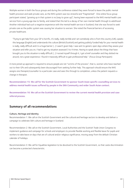Multiple women in both the focus groups and during the conference stated they were forced to leave the public mental health provision and seek private care, as the NHS system was too stressful and "fragmented". One online focus group participant stated, "growing up in that system is no [way to grow up]", having been exposed to the NHS mental health care service from a young age due to family, and stated that this led to a decay of her own mental health through to adulthood. Another individual had such a negative experience with the mental health service in Scotland, that she was forced to seek private care as the public system was causing her situation to worsen. She noted the financial barriers of accessing private healthcare.

"Trying to get help from your GP is horrific, it's really, really terrible and I am somebody who is from this country [UK], speaks this language [English] and understands this culture [British/Scottish] and getting publicly funded help for your mental health is really, really difficult and it is a huge barrier […] I wasn't given help. I was sent to generic open days where they assess your situation and refer you on, I had to get my situation assessed 3 to 4 times. Having to speak about the things that have brought you to this situation is really difficult […] I nursed myself through it, I got a brief counsellor and they dotted me around, not a great experience. I found it massively difficult to gain professional help." [Focus Group Participant]

A more joined up approach is required to ensure people are not "victims of the process", that is, women who have reached out to their GPs and subsequently been discouraged from seeking further help. This approach should ensure the NHS assigns one therapist/counsellor to a particular case and sees this through to completion, unless the patient requests a change in therapist.

Recommendation 15: We call for the Scottish Government to sponsor South Asian specific counselling services to address mental health issues suffered by people in the Sikh Community and wider South Asian context.

Recommendation 16: We call on the Scottish Government to review the current mental health provision and case referral process.

# **Summary of all recommendations**

#### Culture, Heritage and Identity

Recommendation 1: We call on the Scottish Government and the cultural and heritage sectors to develop and deliver a campaign to celebrate Sikh culture and heritage in Scotland.

Recommendation 2: We call on the Scottish Government, Local Authorities and the Scottish Trade Union Congress to implement guidance and campaign for schools and employers to provide flexible working and flexible leave for pupils and workers to take leave on days that are of cultural and/or religious significance, moving away from the default Christian calendar of holidays.

Recommendation 3: We call for Equalities legislation to be devolved to the Scottish Government, so that caste discrimination can become a protected characteristic.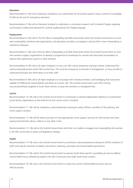#### Education

Recommendation 4: We call on Education Scotland to set a benchmark for all Scottish pupils to have a minimum knowledge of Sikhi by the end of compulsory education.

Recommendation 5: We call on Education Scotland to undertake or commission research with Scotland's Panjabi-speaking communities to determine demand for Scottish qualification(s) for Panjabi language.

#### Employment

Recommendation 6: We call on The Fair Work, Employability and Skills Directorate within the Scottish Government to work with employability initiatives and organisations, and education providers, to instigate a cultural shift in how 'homemaking' is viewed by employers.

Recommendation 7: We call on the Fair Work, Employability and Skills Directorate within the Scottish Government to work with women's support organisations to develop a programme of workshops for women who have been homemakers to explore their potential as workers in other domains.

Recommendation 8: We call on all major employers to carry out Sikh culture awareness training to better understand the culture and predicaments which Sikh women face. This must be compulsory to all levels of management, so they are able to understand and pass this information on to their staff.

Recommendation 9: We call on all major employers to encourage merit-based promotion, acknowledging that everyone is capable of fulfilling the responsibilities and duties of a senior role. The Scottish Government must offer training courses/workshops targeted at South Asian women, to ease the transition to managerial roles.

#### Justice

Recommendation 10: We call on the Scottish Government to commission a national independent taskforce on institutional racism led by organisations at the forefront of anti-racism work in Scotland.

Recommendation 11: We call for mandatory cultural awareness training for police officers, members of the judiciary and victim support workers.

Recommendation 12: We call for better provision of more appropriate victim support services for Sikh women who have experienced domestic abuse, violence or any other crime.

Recommendation 13: We call on the Scottish Government and other civic bodies to engage more meaningfully with women in the Sikh community on policy and legislative changes.

#### Health

Recommendation 14: We call on the Scottish Government to commission cultural awareness training for all NHS members of staff; with specific attention to elderly care homes, maternity, postnatal, and mental health practitioners.

Recommendation 15: We call for the Scottish Government to sponsor South Asian specific counselling services to address mental health issues suffered by people in the Sikh Community and wider South Asian context.

Recommendation 16: We call on the Scottish Government to review the current mental health provision and cas referral process.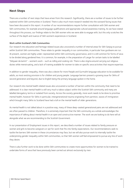# **Next Steps**

There are a number of next steps that have arisen from this research. Significantly, there are a number of issues to be further explored within Sikh communities in Scotland. There is also much more research needed into the outward facing issues that have been discussed in this report. A number of our recommendations require further consultation with Sikh women and Sikh communities, for example around language qualifications and appropriate cultural awareness training. As we have stated throughout this process, our findings relate to the Sikh women who we were able to engage with, but this only scratches the surface of the depth and nuance of Sikh women's experiences in Scotland.

#### Work within Scotland's Sikh Communities

Our research into education and heritage related issues also uncovered a number of internal areas for Sikh Sanjog to pursue within Scottish Sikh communities. These relate to gender inequality in our communities, in particular how gurdware are run. At present, women are highly under-represented within Sikh community governance, and it is still common for forms of seva to be divided along gendered lines. It is common, for example, in the preparation of Langar for certain tasks to be labelled "bibiyaan da kamm" - women's work - such as rolling and cooking roti. There is also stigma around carrying out religious duties while menstruating, and a lack of training available for women to take on specific seva activities that require expertise.

In addition to gender inequality, there was also a desire for more Panjabi and Gurmukhi language education to be available for adults, as most existing provision is for children and young people. Language barriers present a growing issue for Sikhs of second generation and beyond, due to English being the primary language spoken in the home.

Our research into mental health related issues also uncovered a number of barriers within the community that need to be addressed. It is clear mental health is still very much a taboo subject within the Scottish Sikh community and many are labelled derogatory terms or isolated from society. Across the society generally, more work needs to be done to prioritise mental health, however for Sikhs in particular, intergenerational trauma originating from partition, waves of immigration which brought many Sikhs to Scotland have had a toll on the mental health of older generations.

As mental health is not talked about in a positive way, many of these deep-seated generational pains are not addressed and are often passed to children. Therefore, it is extremely important that the Sikh community as a whole acknowledges the importance of talking about mental health in an open and constructive manner. The work we are looking to do here will sit alongside what we are recommending to the Scottish Government.

In our presentation of Employment issues in this report, we described a number of issues related to family pressure on women and girls to become caregivers or opt for work that fits into family expectations. Our recommendations seek to tackle the barriers Sikh women in these circumstances may face, but we will also pursue work to internally tackle the underpinning gender inequality within Sikh communities, so that Sikh women will feel empowered to pursue any line of work they desire.

There is also further work to be done within Sikh communities to create more opportunities for women to be trained to undertake forms of seva that have previously been carried out almost exclusively by men.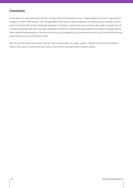# **Conclusion**

In this report we have presented a number of important recommendations that, if implemented, will result in huge positive change for Scottish Sikh women. We strongly believe that taking a nuanced approach to addressing the culturally-specific needs of Scottish Sikh women will benefit all people in Scotland, in paving the way to embrace the needs of people from all cultures and backgrounds. We once again would like to thank the women who participated in this research through sharing their valuable lived experiences. We know that this is just the beginning, and that there are many more Scottish Sikh women whose stories are yet to be told and heard.

We call on the Scottish Government, and the other named bodies, to accept, support, and act on the recommendations made in this report, to ensure that the voices of Sikh women are heard within Scottish society.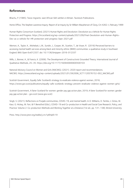# **References**

Bhachu, P. (1985). Twice migrants: east African Sikh settlers in Britain. Tavistock Publications.

Home Office, The Stephen Lawrence Inquiry: Report of an Inquiry by Sir William Macpherson of Cluny, Cm 4262–I, February 1999

Human Rights Consortium Scotland, (2021) Human Rights and Devolution: Devolution as a Vehicle for Human Rights Protection and Progress. https://hrcscotland.org/wp-content/uploads/2021/09/Final-Devolution-and-Human-Rights-Dev-as-a-vehicle-for-HR-protection-and-progress-Sept-2021.pdf

Memon, A., Taylor, K., Mohebati, L.M., Sundin, J., Cooper, M., Scanlon, T., de Visser, R. (2016) Perceived barriers to accessing mental health services among black and minority ethnic (BME) communities: a qualitative study in Southeast England. BMJ Open 6:e012337. doi: 10.1136/bmjopen-2016-012337

Mills, J., Bonner, A., & Francis, K. (2006). The Development of Constructivist Grounded Theory. International Journal of Qualitative Methods, 25–35. https://doi.org/10.1177/160940690600500103

National Advisory Council on Women and Girls (NACWG). (2021). 2020 report and recommendations. NACWG. https://onescotland.org/wp-content/uploads/2021/01/562006\_SCT1120576152-002\_NACWG.pdf

Scottish Government, Equally Safe: Scotland's strategy to eradicate violence against women, 2018, https://www.gov.scot/publications/equally-safe-scotlands-strategy-prevent-eradicate-violence-against-women-girls/

Scottish Government, A fairer Scotland for women: gender pay gap action plan, 2019, A fairer Scotland for women: gender pay gap action plan - gov.scot (www.gov.scot)

Singh, S. (2021). Reflections on Punjabi communities, COVID-19, and mental health. In O. Williams, D. Tembo, J. Ocloo, M. Kaur, G. Hickey, M. Farr, & P. Beresford (Eds.), COVID-19 and Co-production in Health and Social Care Research, Policy, and Practice: Volume 2: Co-production Methods and Working Together at a Distance (1st ed., pp. 131–138). Bristol University

Press. http://www.jstor.org/stable/j.ctv1p6hqk9.19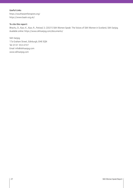#### Useful Links

https://southasiantherapists.org/ https://www.baatn.org.uk/

#### To cite this report:

Bhachu, D., Kaur, K., Kaur, R., Potiwal, S. (2021) Sikh Women Speak: The Voices of Sikh Women in Scotland, Sikh Sanjog. Available online: https://www.sikhsanjog.com/documents/

Sikh Sanjog 17a Graham Street, Edinburgh, EH6 5QN Tel: 0131 553 4737 Email: info@sikhsanjog.com www.sikhsanjog.com